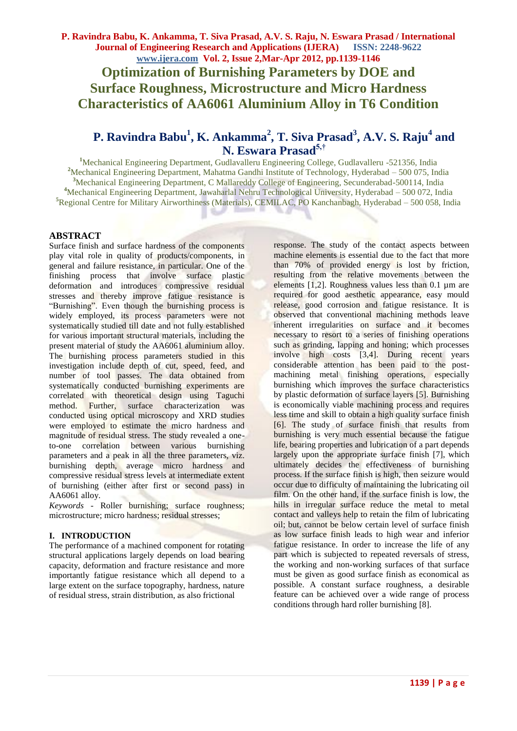# **P. Ravindra Babu<sup>1</sup> , K. Ankamma<sup>2</sup> , T. Siva Prasad<sup>3</sup> , A.V. S. Raju<sup>4</sup> and N. Eswara Prasad5,†**

Mechanical Engineering Department, Gudlavalleru Engineering College, Gudlavalleru -521356, India <sup>2</sup>Mechanical Engineering Department, Mahatma Gandhi Institute of Technology, Hyderabad – 500 075, India Mechanical Engineering Department, C Mallareddy College of Engineering, Secunderabad-500114, India Mechanical Engineering Department, Jawaharlal Nehru Technological University, Hyderabad – 500 072, India Regional Centre for Military Airworthiness (Materials), CEMILAC, PO Kanchanbagh, Hyderabad – 500 058, India

# **ABSTRACT**

Surface finish and surface hardness of the components play vital role in quality of products/components, in general and failure resistance, in particular. One of the finishing process that involve surface plastic deformation and introduces compressive residual stresses and thereby improve fatigue resistance is "Burnishing". Even though the burnishing process is widely employed, its process parameters were not systematically studied till date and not fully established for various important structural materials, including the present material of study the AA6061 aluminium alloy. The burnishing process parameters studied in this investigation include depth of cut, speed, feed, and number of tool passes. The data obtained from systematically conducted burnishing experiments are correlated with theoretical design using Taguchi method. Further, surface characterization was conducted using optical microscopy and XRD studies were employed to estimate the micro hardness and magnitude of residual stress. The study revealed a oneto-one correlation between various burnishing parameters and a peak in all the three parameters, viz. burnishing depth, average micro hardness and compressive residual stress levels at intermediate extent of burnishing (either after first or second pass) in AA6061 alloy.

*Keywords -* Roller burnishing; surface roughness; microstructure; micro hardness; residual stresses;

### **I. INTRODUCTION**

The performance of a machined component for rotating structural applications largely depends on load bearing capacity, deformation and fracture resistance and more importantly fatigue resistance which all depend to a large extent on the surface topography, hardness, nature of residual stress, strain distribution, as also frictional

response. The study of the contact aspects between machine elements is essential due to the fact that more than 70% of provided energy is lost by friction, resulting from the relative movements between the elements [1,2]. Roughness values less than 0.1 µm are required for good aesthetic appearance, easy mould release, good corrosion and fatigue resistance. It is observed that conventional machining methods leave inherent irregularities on surface and it becomes necessary to resort to a series of finishing operations such as grinding, lapping and honing; which processes involve high costs [3,4]. During recent years considerable attention has been paid to the postmachining metal finishing operations, especially burnishing which improves the surface characteristics by plastic deformation of surface layers [5]. Burnishing is economically viable machining process and requires less time and skill to obtain a high quality surface finish [6]. The study of surface finish that results from burnishing is very much essential because the fatigue life, bearing properties and lubrication of a part depends largely upon the appropriate surface finish [7], which ultimately decides the effectiveness of burnishing process. If the surface finish is high, then seizure would occur due to difficulty of maintaining the lubricating oil film. On the other hand, if the surface finish is low, the hills in irregular surface reduce the metal to metal contact and valleys help to retain the film of lubricating oil; but, cannot be below certain level of surface finish as low surface finish leads to high wear and inferior fatigue resistance. In order to increase the life of any part which is subjected to repeated reversals of stress, the working and non-working surfaces of that surface must be given as good surface finish as economical as possible. A constant surface roughness, a desirable feature can be achieved over a wide range of process conditions through hard roller burnishing [8].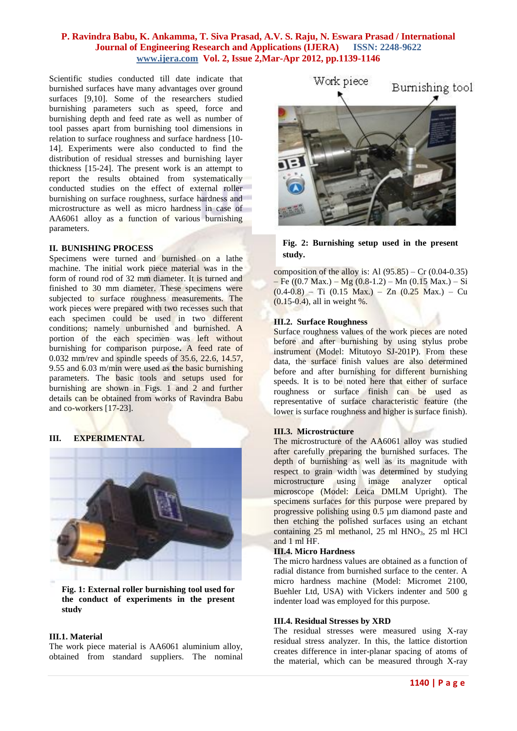Scientific studies conducted till date indicate that burnished surfaces have many advantages over ground surfaces [9,10]. Some of the researchers studied burnishing parameters such as speed, force and burnishing depth and feed rate as well as number of tool passes apart from burnishing tool dimensions in relation to surface roughness and surface hardness [10- 14]. Experiments were also conducted to find the distribution of residual stresses and burnishing layer thickness [15-24]. The present work is an attempt to report the results obtained from systematically conducted studies on the effect of external roller burnishing on surface roughness, surface hardness and microstructure as well as micro hardness in case of AA6061 alloy as a function of various burnishing parameters.

#### **II. BUNISHING PROCESS**

Specimens were turned and burnished on a lathe machine. The initial work piece material was in the form of round rod of 32 mm diameter. It is turned and finished to 30 mm diameter. These specimens were subjected to surface roughness measurements. The work pieces were prepared with two recesses such that each specimen could be used in two different conditions; namely unburnished and burnished. A portion of the each specimen was left without burnishing for comparison purpose**.** A feed rate of 0.032 mm/rev and spindle speeds of 35.6, 22.6, 14.57, 9.55 and 6.03 m/min were used as **t**he basic burnishing parameters. The basic tools and setups used for burnishing are shown in Figs. 1 and 2 and further details can be obtained from works of Ravindra Babu and co-workers [17-23].

### **III. EXPERIMENTAL**



**Fig. 1: External roller burnishing tool used for the conduct of experiments in the present study**

### **III.1. Material**

The work piece material is AA6061 aluminium alloy, obtained from standard suppliers. The nominal



# **Fig. 2: Burnishing setup used in the present study.**

composition of the alloy is: Al  $(95.85)$  – Cr  $(0.04-0.35)$  $-$  Fe ((0.7 Max.) – Mg (0.8-1.2) – Mn (0.15 Max.) – Si  $(0.4-0.8)$  – Ti  $(0.15$  Max.) – Zn  $(0.25$  Max.) – Cu (0.15-0.4), all in weight %.

#### **III.2. Surface Roughness**

Surface roughness values of the work pieces are noted before and after burnishing by using stylus probe instrument (Model: Mitutoyo SJ-201P). From these data, the surface finish values are also determined before and after burnishing for different burnishing speeds. It is to be noted here that either of surface roughness or surface finish can be used as representative of surface characteristic feature (the lower is surface roughness and higher is surface finish).

### **III.3. Microstructure**

The microstructure of the AA6061 alloy was studied after carefully preparing the burnished surfaces. The depth of burnishing as well as its magnitude with respect to grain width was determined by studying microstructure using image analyzer optical microscope (Model: Leica DMLM Upright). The specimens surfaces for this purpose were prepared by progressive polishing using 0.5 µm diamond paste and then etching the polished surfaces using an etchant containing  $25$  ml methanol,  $25$  ml HNO<sub>3</sub>,  $25$  ml HCl and 1 ml HF.

#### **III.4. Micro Hardness**

The micro hardness values are obtained as a function of radial distance from burnished surface to the center. A micro hardness machine (Model: Micromet 2100, Buehler Ltd, USA) with Vickers indenter and 500 g indenter load was employed for this purpose.

### **III.4. Residual Stresses by XRD**

The residual stresses were measured using X-ray residual stress analyzer. In this, the lattice distortion creates difference in inter-planar spacing of atoms of the material, which can be measured through X-ray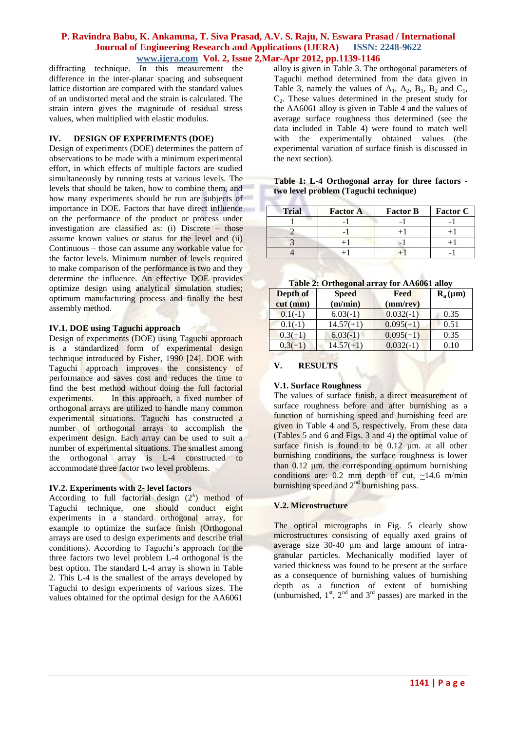diffracting technique. In this measurement the difference in the inter-planar spacing and subsequent lattice distortion are compared with the standard values of an undistorted metal and the strain is calculated. The strain intern gives the magnitude of residual stress values, when multiplied with elastic modulus.

### **IV. DESIGN OF EXPERIMENTS (DOE)**

Design of experiments (DOE) determines the pattern of observations to be made with a minimum experimental effort, in which effects of multiple factors are studied simultaneously by running tests at various levels. The levels that should be taken, how to combine them, and how many experiments should be run are subjects of importance in DOE. Factors that have direct influence on the performance of the product or process under investigation are classified as: (i) Discrete – those assume known values or status for the level and (ii) Continuous – those can assume any workable value for the factor levels. Minimum number of levels required to make comparison of the performance is two and they determine the influence. An effective DOE provides optimize design using analytical simulation studies; optimum manufacturing process and finally the best assembly method.

#### **IV.1. DOE using Taguchi approach**

Design of experiments (DOE) using Taguchi approach is a standardized form of experimental design technique introduced by Fisher, 1990 [24]. DOE with Taguchi approach improves the consistency of performance and saves cost and reduces the time to find the best method without doing the full factorial experiments. In this approach, a fixed number of orthogonal arrays are utilized to handle many common experimental situations. Taguchi has constructed a number of orthogonal arrays to accomplish the experiment design. Each array can be used to suit a number of experimental situations. The smallest among the orthogonal array is L-4 constructed to accommodate three factor two level problems.

### **IV.2. Experiments with 2- level factors**

According to full factorial design  $(2^k)$  method of Taguchi technique, one should conduct eight experiments in a standard orthogonal array, for example to optimize the surface finish (Orthogonal arrays are used to design experiments and describe trial conditions). According to Taguchi's approach for the three factors two level problem L-4 orthogonal is the best option. The standard L-4 array is shown in Table 2. This L-4 is the smallest of the arrays developed by Taguchi to design experiments of various sizes. The values obtained for the optimal design for the AA6061

alloy is given in Table 3. The orthogonal parameters of Taguchi method determined from the data given in Table 3, namely the values of  $A_1$ ,  $A_2$ ,  $B_1$ ,  $B_2$  and  $C_1$ ,  $C<sub>2</sub>$ . These values determined in the present study for the AA6061 alloy is given in Table 4 and the values of average surface roughness thus determined (see the data included in Table 4) were found to match well with the experimentally obtained values (the experimental variation of surface finish is discussed in the next section).

# **Table 1: L-4 Orthogonal array for three factors two level problem (Taguchi technique)**

| <b>Trial</b> | <b>Factor A</b> | <b>Factor B</b> | <b>Factor C</b> |
|--------------|-----------------|-----------------|-----------------|
|              |                 |                 |                 |
|              |                 |                 |                 |
|              |                 |                 |                 |
|              |                 |                 |                 |

#### **Table 2: Orthogonal array for AA6061 alloy**

| Depth of<br>$cut$ (mm) | <b>Speed</b><br>(m/min) | Feed<br>$(mm$ /rev $)$ | $R_a(\mu m)$ |
|------------------------|-------------------------|------------------------|--------------|
| $0.1(-1)$              | $6.03(-1)$              | $0.032(-1)$            | 0.35         |
| $0.1(-1)$              | $14.57(+1)$             | $0.095(+1)$            | 0.51         |
| $0.3(+1)$              | $6.03(-1)$              | $0.095(+1)$            | 0.35         |
| $0.3(+1)$              | $14.57(+1)$             | $0.032(-1)$            | 0.10         |

# **V. RESULTS**

# **V.1. Surface Roughness**

The values of surface finish, a direct measurement of surface roughness before and after burnishing as a function of burnishing speed and burnishing feed are given in Table 4 and 5, respectively. From these data (Tables 5 and 6 and Figs. 3 and 4) the optimal value of surface finish is found to be 0.12 um. at all other burnishing conditions, the surface roughness is lower than  $0.12$  µm. the corresponding optimum burnishing conditions are: 0.2 mm depth of cut,  $\sim$ 14.6 m/min burnishing speed and  $2<sup>nd</sup>$  burnishing pass.

### **V.2. Microstructure**

The optical micrographs in Fig. 5 clearly show microstructures consisting of equally axed grains of average size 30-40 µm and large amount of intragranular particles. Mechanically modified layer of varied thickness was found to be present at the surface as a consequence of burnishing values of burnishing depth as a function of extent of burnishing (unburnished,  $1<sup>st</sup>$ ,  $2<sup>nd</sup>$  and  $3<sup>rd</sup>$  passes) are marked in the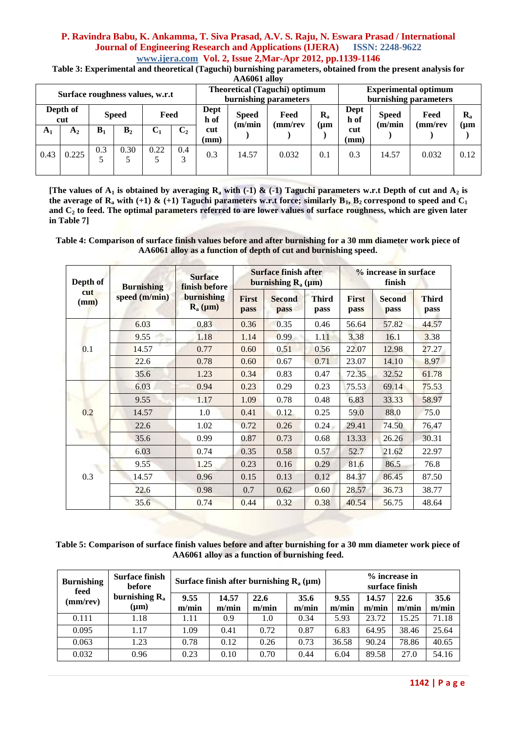**Table 3: Experimental and theoretical (Taguchi) burnishing parameters, obtained from the present analysis for** 

|                                 | AA6061 alloy    |                |                |       |                |                                                 |       |                                                               |           |             |                                                      |         |           |  |
|---------------------------------|-----------------|----------------|----------------|-------|----------------|-------------------------------------------------|-------|---------------------------------------------------------------|-----------|-------------|------------------------------------------------------|---------|-----------|--|
| Surface roughness values, w.r.t |                 |                |                |       |                |                                                 |       | <b>Theoretical (Taguchi) optimum</b><br>burnishing parameters |           |             | <b>Experimental optimum</b><br>burnishing parameters |         |           |  |
|                                 | Depth of<br>cut |                | <b>Speed</b>   | Feed  |                | Dept<br>$R_{a}$<br>Feed<br><b>Speed</b><br>h of |       | Dept<br>h of<br>(m/min)                                       |           |             | <b>Speed</b><br>(m/min)                              | Feed    | $R_{a}$   |  |
| $A_1$                           | A <sub>2</sub>  | B <sub>1</sub> | B <sub>2</sub> | $C_1$ | C <sub>2</sub> | cut<br>(mm)                                     |       | (mm/rev                                                       | $(\mu m)$ | cut<br>(mm) |                                                      | (mm/rev | $(\mu m)$ |  |
| 0.43                            | 0.225           | 0.3            | 0.30           | 0.22  | 0.4<br>3       | 0.3                                             | 14.57 | 0.032                                                         | 0.1       | 0.3         | 14.57                                                | 0.032   | 0.12      |  |

**[The values of A<sup>1</sup> is obtained by averaging R<sup>a</sup> with (-1) & (-1) Taguchi parameters w.r.t Depth of cut and A<sup>2</sup> is**  the average of  $\mathbb{R}_a$  with (+1)  $\&$  (+1) Taguchi parameters w.r.t force; similarly  $\mathbb{B}_1$ ,  $\mathbb{B}_2$  correspond to speed and  $\mathbb{C}_1$ **and C<sup>2</sup> to feed. The optimal parameters referred to are lower values of surface roughness, which are given later in Table 7]**

**Table 4: Comparison of surface finish values before and after burnishing for a 30 mm diameter work piece of AA6061 alloy as a function of depth of cut and burnishing speed.**

| Depth of<br>cut<br>(mm) | <b>Burnishing</b> | <b>Surface</b><br>finish before                                   |                      | <b>Surface finish after</b><br>burnishing $R_a(\mu m)$ |               | % increase in surface<br>finish |                       |                      |  |
|-------------------------|-------------------|-------------------------------------------------------------------|----------------------|--------------------------------------------------------|---------------|---------------------------------|-----------------------|----------------------|--|
|                         | speed (m/min)     | burnishing<br>$\mathbf{R}_{\mathbf{a}}\left(\mu\mathbf{m}\right)$ | <b>First</b><br>pass | <b>Second</b><br>pass                                  | Third<br>pass | <b>First</b><br>pass            | <b>Second</b><br>pass | <b>Third</b><br>pass |  |
|                         | 6.03              | 0.83                                                              | 0.36                 | 0.35                                                   | 0.46          | 56.64                           | 57.82                 | 44.57                |  |
|                         | 9.55              | 1.18                                                              | 1.14                 | 0.99                                                   | 1.11          | 3.38                            | 16.1                  | 3.38                 |  |
| 0.1                     | 14.57             | 0.77                                                              | 0.60                 | 0.51                                                   | 0.56          | 22.07                           | 12.98                 | 27.27                |  |
|                         | 22.6              | 0.78                                                              | 0.60                 | 0.67                                                   | 0.71          | 23.07                           | 14.10                 | 8.97                 |  |
|                         | 35.6              | 1.23                                                              | 0.34                 | 0.83                                                   | 0.47          | 72.35                           | 32.52                 | 61.78                |  |
|                         | 6.03              | 0.94                                                              | 0.23                 | 0.29                                                   | 0.23          | 75.53                           | 69.14                 | 75.53                |  |
|                         | 9.55              | 1.17                                                              | 1.09                 | 0.78                                                   | 0.48          | 6.83                            | 33.33                 | 58.97                |  |
| 0.2                     | 14.57             | 1.0                                                               | 0.41                 | 0.12                                                   | 0.25          | 59.0                            | 88.0                  | 75.0                 |  |
|                         | 22.6              | 1.02                                                              | 0.72                 | 0.26                                                   | 0.24          | 29.41                           | 74.50                 | 76.47                |  |
|                         | 35.6              | 0.99                                                              | 0.87                 | 0.73                                                   | 0.68          | 13.33                           | 26.26                 | 30.31                |  |
|                         | 6.03              | 0.74                                                              | 0.35                 | 0.58                                                   | 0.57          | 52.7                            | 21.62                 | 22.97                |  |
| 0.3                     | 9.55              | 1.25                                                              | 0.23                 | 0.16                                                   | 0.29          | 81.6                            | 86.5                  | 76.8                 |  |
|                         | 14.57             | 0.96                                                              | 0.15                 | 0.13                                                   | 0.12          | 84.37                           | 86.45                 | 87.50                |  |
|                         | 22.6              | 0.98                                                              | 0.7                  | 0.62                                                   | 0.60          | 28.57                           | 36.73                 | 38.77                |  |
|                         | 35.6              | 0.74                                                              | 0.44                 | 0.32                                                   | 0.38          | 40.54                           | 56.75                 | 48.64                |  |

**Table 5: Comparison of surface finish values before and after burnishing for a 30 mm diameter work piece of AA6061 alloy as a function of burnishing feed.**

| <b>Burnishing</b><br>feed<br>(mm/rev) | <b>Surface finish</b><br>Surface finish after burnishing $R_a$ ( $\mu$ m)<br>before |               |                |               |               |               |                | % increase in<br>surface finish |               |
|---------------------------------------|-------------------------------------------------------------------------------------|---------------|----------------|---------------|---------------|---------------|----------------|---------------------------------|---------------|
|                                       | burnishing $R_a$<br>$(\mu m)$                                                       | 9.55<br>m/min | 14.57<br>m/min | 22.6<br>m/min | 35.6<br>m/min | 9.55<br>m/min | 14.57<br>m/min | 22.6<br>m/min                   | 35.6<br>m/min |
| 0.111                                 | 1.18                                                                                | 1.11          | 0.9            | 1.0           | 0.34          | 5.93          | 23.72          | 15.25                           | 71.18         |
| 0.095                                 | 1.17                                                                                | 1.09          | 0.41           | 0.72          | 0.87          | 6.83          | 64.95          | 38.46                           | 25.64         |
| 0.063                                 | 1.23                                                                                | 0.78          | 0.12           | 0.26          | 0.73          | 36.58         | 90.24          | 78.86                           | 40.65         |
| 0.032                                 | 0.96                                                                                | 0.23          | 0.10           | 0.70          | 0.44          | 6.04          | 89.58          | 27.0                            | 54.16         |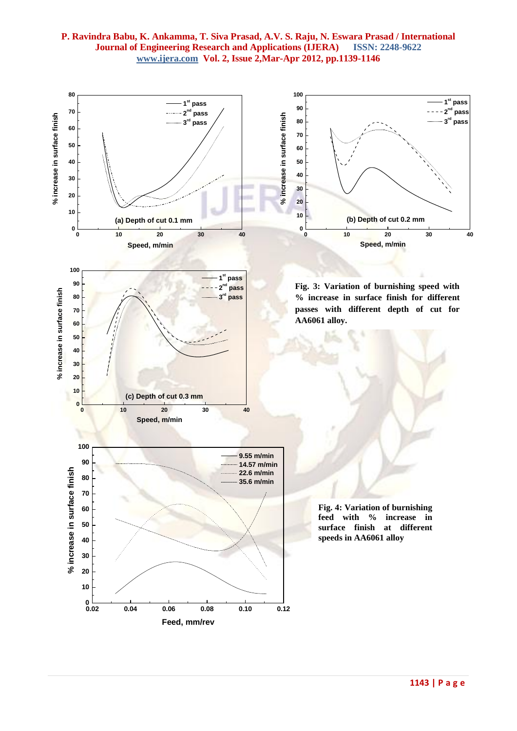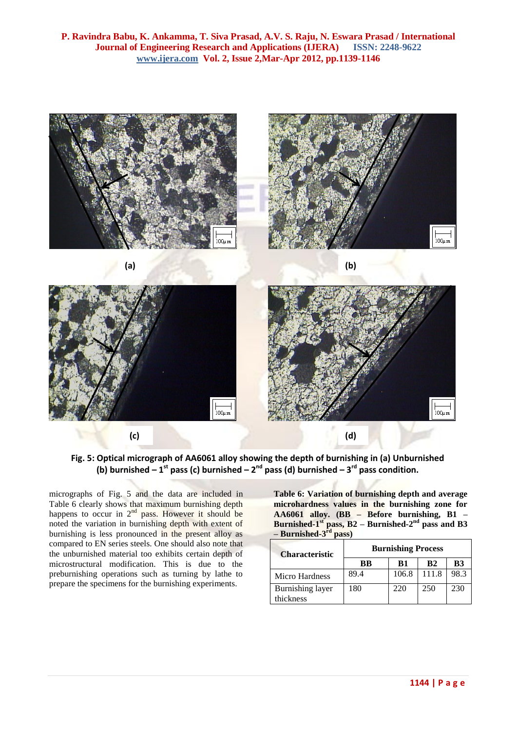

**Fig. 5: Optical micrograph of AA6061 alloy showing the depth of burnishing in (a) Unburnished (b) burnished – 1 st pass (c) burnished – 2 nd pass (d) burnished – 3 rd pass condition.**

micrographs of Fig. 5 and the data are included in Table 6 clearly shows that maximum burnishing depth happens to occur in  $2<sup>nd</sup>$  pass. However it should be noted the variation in burnishing depth with extent of burnishing is less pronounced in the present alloy as compared to EN series steels. One should also note that the unburnished material too exhibits certain depth of microstructural modification. This is due to the preburnishing operations such as turning by lathe to prepare the specimens for the burnishing experiments.

**Table 6: Variation of burnishing depth and average microhardness values in the burnishing zone for AA6061 alloy. (BB – Before burnishing, B1 – Burnished-1<sup>st</sup> pass, B2** – **Burnished-2<sup>nd</sup> pass and B3 – Burnished-3 rd pass)**

| <b>Characteristic</b>         | <b>Burnishing Process</b> |       |       |      |  |  |  |  |
|-------------------------------|---------------------------|-------|-------|------|--|--|--|--|
|                               | BB                        | B1    | B2    | B3   |  |  |  |  |
| Micro Hardness                | 89.4                      | 106.8 | 111.8 | 98.3 |  |  |  |  |
| Burnishing layer<br>thickness | 180                       | 220   | 250   | 230  |  |  |  |  |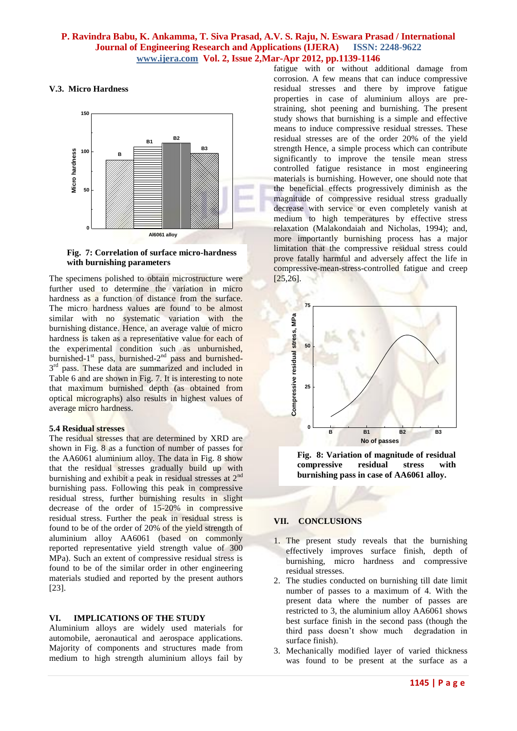# **V.3. Micro Hardness**



### **Fig. 7: Correlation of surface micro-hardness with burnishing parameters**

The specimens polished to obtain microstructure were further used to determine the variation in micro hardness as a function of distance from the surface. The micro hardness values are found to be almost similar with no systematic variation with the burnishing distance. Hence, an average value of micro hardness is taken as a representative value for each of the experimental condition such as unburnished, burnished-1<sup>st</sup> pass, burnished-2<sup>nd</sup> pass and burnished-3<sup>rd</sup> pass. These data are summarized and included in Table 6 and are shown in Fig. 7. It is interesting to note that maximum burnished depth (as obtained from optical micrographs) also results in highest values of average micro hardness.

### **5.4 Residual stresses**

The residual stresses that are determined by XRD are shown in Fig. 8 as a function of number of passes for the AA6061 aluminium alloy. The data in Fig. 8 show that the residual stresses gradually build up with burnishing and exhibit a peak in residual stresses at  $2^{nc}$ burnishing pass. Following this peak in compressive residual stress, further burnishing results in slight decrease of the order of 15-20% in compressive residual stress. Further the peak in residual stress is found to be of the order of 20% of the yield strength of aluminium alloy AA6061 (based on commonly reported representative yield strength value of 300 MPa). Such an extent of compressive residual stress is found to be of the similar order in other engineering materials studied and reported by the present authors [23].

### **VI. IMPLICATIONS OF THE STUDY**

Aluminium alloys are widely used materials for automobile, aeronautical and aerospace applications. Majority of components and structures made from medium to high strength aluminium alloys fail by

fatigue with or without additional damage from corrosion. A few means that can induce compressive residual stresses and there by improve fatigue properties in case of aluminium alloys are prestraining, shot peening and burnishing. The present study shows that burnishing is a simple and effective means to induce compressive residual stresses. These residual stresses are of the order 20% of the yield strength Hence, a simple process which can contribute significantly to improve the tensile mean stress controlled fatigue resistance in most engineering materials is burnishing. However, one should note that the beneficial effects progressively diminish as the magnitude of compressive residual stress gradually decrease with service or even completely vanish at medium to high temperatures by effective stress relaxation (Malakondaiah and Nicholas, 1994); and, more importantly burnishing process has a major limitation that the compressive residual stress could prove fatally harmful and adversely affect the life in compressive-mean-stress-controlled fatigue and creep [25,26].



**Fig. 8: Variation of magnitude of residual compressive residual stress with burnishing pass in case of AA6061 alloy.**

# **VII. CONCLUSIONS**

- 1. The present study reveals that the burnishing effectively improves surface finish, depth of burnishing, micro hardness and compressive residual stresses.
- 2. The studies conducted on burnishing till date limit number of passes to a maximum of 4. With the present data where the number of passes are restricted to 3, the aluminium alloy AA6061 shows best surface finish in the second pass (though the third pass doesn't show much degradation in surface finish).
- 3. Mechanically modified layer of varied thickness was found to be present at the surface as a